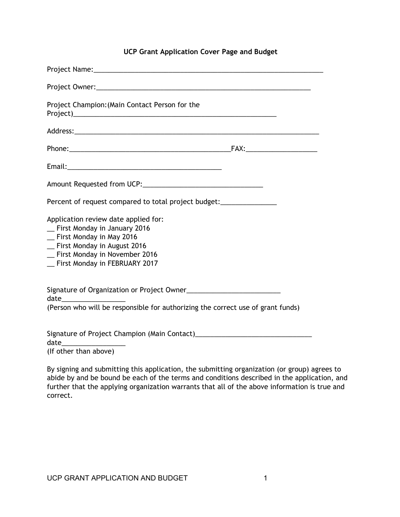## **UCP Grant Application Cover Page and Budget**

| Project Champion: (Main Contact Person for the<br>Project) Project and the contract of the contract of the contract of the contract of the contract of the contract of the contract of the contract of the contract of the contract of the contract of the contract of the contr                                                                                                                                                                                                                               |  |
|----------------------------------------------------------------------------------------------------------------------------------------------------------------------------------------------------------------------------------------------------------------------------------------------------------------------------------------------------------------------------------------------------------------------------------------------------------------------------------------------------------------|--|
|                                                                                                                                                                                                                                                                                                                                                                                                                                                                                                                |  |
|                                                                                                                                                                                                                                                                                                                                                                                                                                                                                                                |  |
|                                                                                                                                                                                                                                                                                                                                                                                                                                                                                                                |  |
|                                                                                                                                                                                                                                                                                                                                                                                                                                                                                                                |  |
|                                                                                                                                                                                                                                                                                                                                                                                                                                                                                                                |  |
| Application review date applied for:<br>_ First Monday in January 2016<br>_ First Monday in May 2016<br>_ First Monday in August 2016<br>_ First Monday in November 2016<br>_ First Monday in FEBRUARY 2017                                                                                                                                                                                                                                                                                                    |  |
| $\begin{picture}(25,20) \put(0,0){\dashbox{0.5}(5,0){ }} \thicklines \put(0,0){\dashbox{0.5}(5,0){ }} \thicklines \put(0,0){\dashbox{0.5}(5,0){ }} \thicklines \put(0,0){\dashbox{0.5}(5,0){ }} \thicklines \put(0,0){\dashbox{0.5}(5,0){ }} \thicklines \put(0,0){\dashbox{0.5}(5,0){ }} \thicklines \put(0,0){\dashbox{0.5}(5,0){ }} \thicklines \put(0,0){\dashbox{0.5}(5,0){ }} \thicklines \put(0,0){\dashbox{0.5}(5,$<br>(Person who will be responsible for authorizing the correct use of grant funds) |  |
| date<br><u> 1980 - Johann Johann Harry Communication (f. 1980)</u>                                                                                                                                                                                                                                                                                                                                                                                                                                             |  |

(If other than above)

By signing and submitting this application, the submitting organization (or group) agrees to abide by and be bound be each of the terms and conditions described in the application, and further that the applying organization warrants that all of the above information is true and correct.